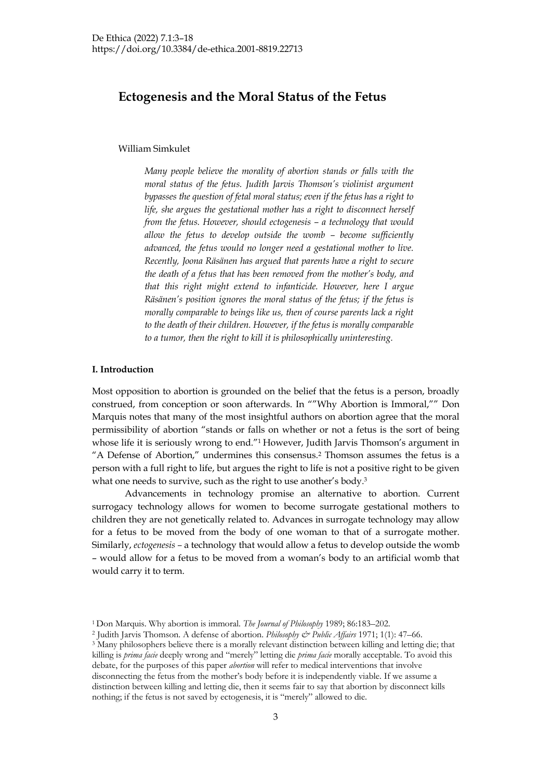# **Ectogenesis and the Moral Status of the Fetus**

## William Simkulet

*Many people believe the morality of abortion stands or falls with the moral status of the fetus. Judith Jarvis Thomson's violinist argument bypasses the question of fetal moral status; even if the fetus has a right to life, she argues the gestational mother has a right to disconnect herself from the fetus. However, should ectogenesis – a technology that would allow the fetus to develop outside the womb – become sufficiently advanced, the fetus would no longer need a gestational mother to live. Recently, Joona Räsänen has argued that parents have a right to secure the death of a fetus that has been removed from the mother's body, and that this right might extend to infanticide. However, here I argue Räsänen's position ignores the moral status of the fetus; if the fetus is morally comparable to beings like us, then of course parents lack a right to the death of their children. However, if the fetus is morally comparable to a tumor, then the right to kill it is philosophically uninteresting.*

## **I. Introduction**

Most opposition to abortion is grounded on the belief that the fetus is a person, broadly construed, from conception or soon afterwards. In ""Why Abortion is Immoral,"" Don Marquis notes that many of the most insightful authors on abortion agree that the moral permissibility of abortion "stands or falls on whether or not a fetus is the sort of being whose life it is seriously wrong to end."<sup>1</sup> However, Judith Jarvis Thomson's argument in "A Defense of Abortion," undermines this consensus.2 Thomson assumes the fetus is a person with a full right to life, but argues the right to life is not a positive right to be given what one needs to survive, such as the right to use another's body.<sup>3</sup>

Advancements in technology promise an alternative to abortion. Current surrogacy technology allows for women to become surrogate gestational mothers to children they are not genetically related to. Advances in surrogate technology may allow for a fetus to be moved from the body of one woman to that of a surrogate mother. Similarly, *ectogenesis –* a technology that would allow a fetus to develop outside the womb – would allow for a fetus to be moved from a woman's body to an artificial womb that would carry it to term.

<sup>1</sup> Don Marquis. Why abortion is immoral. *The Journal of Philosophy* 1989; 86:183–202.

<sup>2</sup> Judith Jarvis Thomson. A defense of abortion. *Philosophy & Public Affairs* 1971; 1(1): 47–66.

<sup>&</sup>lt;sup>3</sup> Many philosophers believe there is a morally relevant distinction between killing and letting die; that killing is *prima facie* deeply wrong and "merely" letting die *prima facie* morally acceptable. To avoid this debate, for the purposes of this paper *abortion* will refer to medical interventions that involve disconnecting the fetus from the mother's body before it is independently viable. If we assume a distinction between killing and letting die, then it seems fair to say that abortion by disconnect kills nothing; if the fetus is not saved by ectogenesis, it is "merely" allowed to die.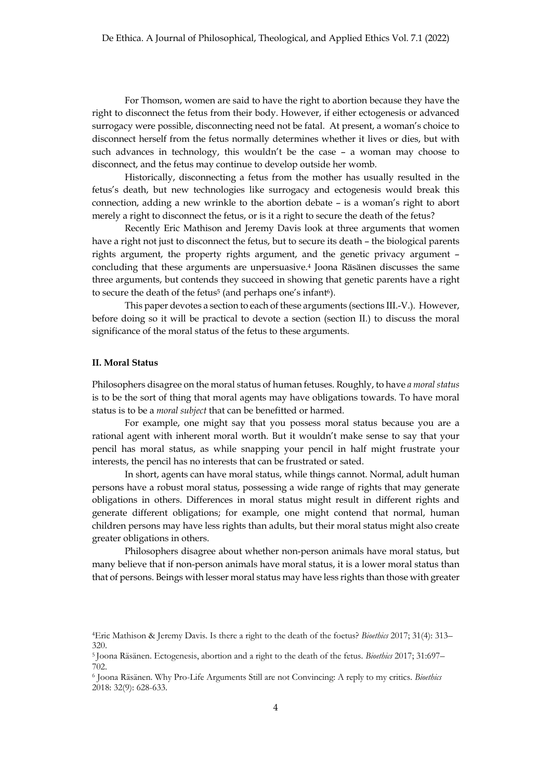For Thomson, women are said to have the right to abortion because they have the right to disconnect the fetus from their body. However, if either ectogenesis or advanced surrogacy were possible, disconnecting need not be fatal. At present, a woman's choice to disconnect herself from the fetus normally determines whether it lives or dies, but with such advances in technology, this wouldn't be the case – a woman may choose to disconnect, and the fetus may continue to develop outside her womb.

Historically, disconnecting a fetus from the mother has usually resulted in the fetus's death, but new technologies like surrogacy and ectogenesis would break this connection, adding a new wrinkle to the abortion debate – is a woman's right to abort merely a right to disconnect the fetus, or is it a right to secure the death of the fetus?

Recently Eric Mathison and Jeremy Davis look at three arguments that women have a right not just to disconnect the fetus, but to secure its death – the biological parents rights argument, the property rights argument, and the genetic privacy argument – concluding that these arguments are unpersuasive.4 Joona Räsänen discusses the same three arguments, but contends they succeed in showing that genetic parents have a right to secure the death of the fetus<sup>5</sup> (and perhaps one's infant<sup>6</sup>).

This paper devotes a section to each of these arguments (sections III.-V.). However, before doing so it will be practical to devote a section (section II.) to discuss the moral significance of the moral status of the fetus to these arguments.

## **II. Moral Status**

Philosophers disagree on the moral status of human fetuses. Roughly, to have *a moral status* is to be the sort of thing that moral agents may have obligations towards. To have moral status is to be a *moral subject* that can be benefitted or harmed.

For example, one might say that you possess moral status because you are a rational agent with inherent moral worth. But it wouldn't make sense to say that your pencil has moral status, as while snapping your pencil in half might frustrate your interests, the pencil has no interests that can be frustrated or sated.

In short, agents can have moral status, while things cannot. Normal, adult human persons have a robust moral status, possessing a wide range of rights that may generate obligations in others. Differences in moral status might result in different rights and generate different obligations; for example, one might contend that normal, human children persons may have less rights than adults, but their moral status might also create greater obligations in others.

Philosophers disagree about whether non-person animals have moral status, but many believe that if non-person animals have moral status, it is a lower moral status than that of persons. Beings with lesser moral status may have less rights than those with greater

<sup>4</sup>Eric Mathison & Jeremy Davis. Is there a right to the death of the foetus? *Bioethics* 2017; 31(4): 313– 320.

<sup>5</sup> Joona Räsänen. Ectogenesis, abortion and a right to the death of the fetus. *Bioethics* 2017; 31:697– 702.

<sup>6</sup> Joona Räsänen. Why Pro-Life Arguments Still are not Convincing: A reply to my critics. *Bioethics* 2018: 32(9): 628-633.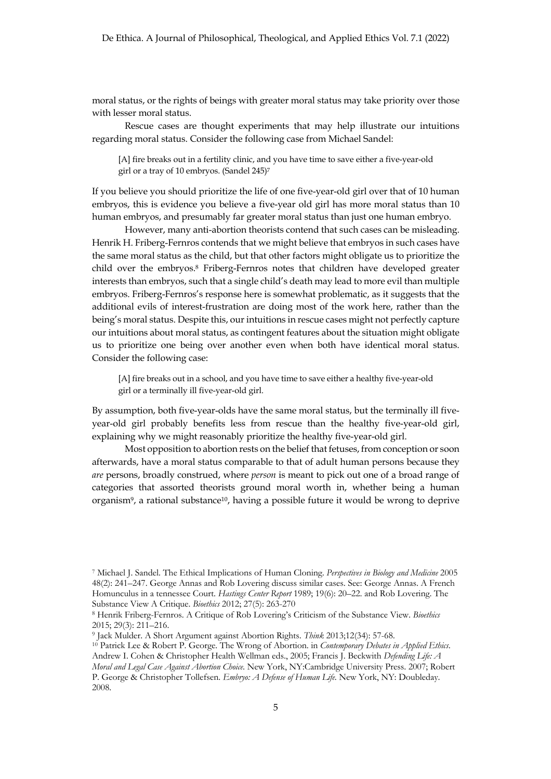moral status, or the rights of beings with greater moral status may take priority over those with lesser moral status.

Rescue cases are thought experiments that may help illustrate our intuitions regarding moral status. Consider the following case from Michael Sandel:

[A] fire breaks out in a fertility clinic, and you have time to save either a five-year-old girl or a tray of 10 embryos. (Sandel 245)7

If you believe you should prioritize the life of one five-year-old girl over that of 10 human embryos, this is evidence you believe a five-year old girl has more moral status than 10 human embryos, and presumably far greater moral status than just one human embryo.

However, many anti-abortion theorists contend that such cases can be misleading. Henrik H. Friberg-Fernros contends that we might believe that embryos in such cases have the same moral status as the child, but that other factors might obligate us to prioritize the child over the embryos.8 Friberg-Fernros notes that children have developed greater interests than embryos, such that a single child's death may lead to more evil than multiple embryos. Friberg-Fernros's response here is somewhat problematic, as it suggests that the additional evils of interest-frustration are doing most of the work here, rather than the being's moral status. Despite this, our intuitions in rescue cases might not perfectly capture our intuitions about moral status, as contingent features about the situation might obligate us to prioritize one being over another even when both have identical moral status. Consider the following case:

[A] fire breaks out in a school, and you have time to save either a healthy five-year-old girl or a terminally ill five-year-old girl.

By assumption, both five-year-olds have the same moral status, but the terminally ill fiveyear-old girl probably benefits less from rescue than the healthy five-year-old girl, explaining why we might reasonably prioritize the healthy five-year-old girl.

Most opposition to abortion rests on the belief that fetuses, from conception or soon afterwards, have a moral status comparable to that of adult human persons because they *are* persons, broadly construed, where *person* is meant to pick out one of a broad range of categories that assorted theorists ground moral worth in, whether being a human organism9, a rational substance10, having a possible future it would be wrong to deprive

<sup>7</sup> Michael J. Sandel. The Ethical Implications of Human Cloning. *Perspectives in Biology and Medicine* 2005 48(2): 241–247. George Annas and Rob Lovering discuss similar cases. See: George Annas. A French Homunculus in a tennessee Court. *Hastings Center Report* 1989; 19(6): 20–22. and Rob Lovering. The Substance View A Critique. *Bioethics* 2012; 27(5): 263-270

<sup>8</sup> Henrik Friberg-Fernros. A Critique of Rob Lovering's Criticism of the Substance View. *Bioethics* 2015; 29(3): 211–216.

<sup>9</sup> Jack Mulder. A Short Argument against Abortion Rights. *Think* 2013;12(34): 57-68. 10 Patrick Lee & Robert P. George. The Wrong of Abortion. in *Contemporary Debates in Applied Ethics*. Andrew I. Cohen & Christopher Health Wellman eds., 2005; Francis J. Beckwith *Defending Life: A Moral and Legal Case Against Abortion Choice*. New York, NY:Cambridge University Press. 2007; Robert P. George & Christopher Tollefsen. *Embryo: A Defense of Human Life.* New York, NY: Doubleday. 2008.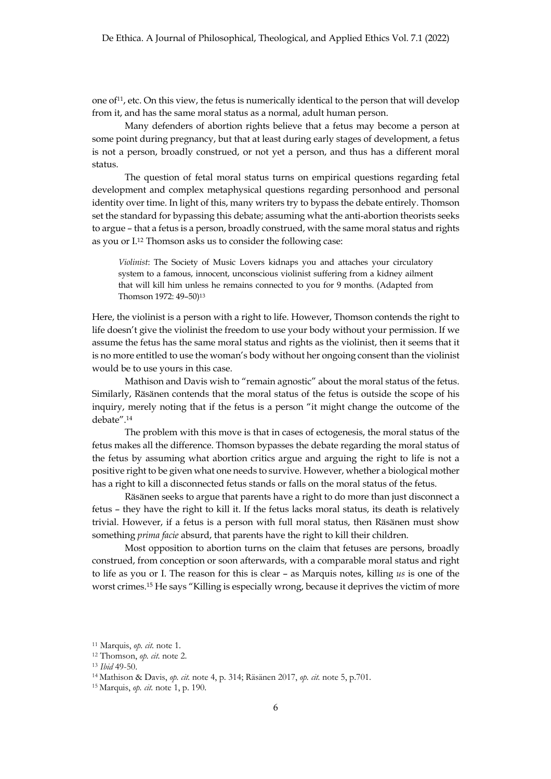one of<sup>11</sup>, etc. On this view, the fetus is numerically identical to the person that will develop from it, and has the same moral status as a normal, adult human person.

Many defenders of abortion rights believe that a fetus may become a person at some point during pregnancy, but that at least during early stages of development, a fetus is not a person, broadly construed, or not yet a person, and thus has a different moral status.

The question of fetal moral status turns on empirical questions regarding fetal development and complex metaphysical questions regarding personhood and personal identity over time. In light of this, many writers try to bypass the debate entirely. Thomson set the standard for bypassing this debate; assuming what the anti-abortion theorists seeks to argue – that a fetus is a person, broadly construed, with the same moral status and rights as you or I.12 Thomson asks us to consider the following case:

*Violinist*: The Society of Music Lovers kidnaps you and attaches your circulatory system to a famous, innocent, unconscious violinist suffering from a kidney ailment that will kill him unless he remains connected to you for 9 months. (Adapted from Thomson 1972: 49-50)<sup>13</sup>

Here, the violinist is a person with a right to life. However, Thomson contends the right to life doesn't give the violinist the freedom to use your body without your permission. If we assume the fetus has the same moral status and rights as the violinist, then it seems that it is no more entitled to use the woman's body without her ongoing consent than the violinist would be to use yours in this case.

Mathison and Davis wish to "remain agnostic" about the moral status of the fetus. Similarly, Räsänen contends that the moral status of the fetus is outside the scope of his inquiry, merely noting that if the fetus is a person "it might change the outcome of the debate".14

The problem with this move is that in cases of ectogenesis, the moral status of the fetus makes all the difference. Thomson bypasses the debate regarding the moral status of the fetus by assuming what abortion critics argue and arguing the right to life is not a positive right to be given what one needs to survive. However, whether a biological mother has a right to kill a disconnected fetus stands or falls on the moral status of the fetus.

Räsänen seeks to argue that parents have a right to do more than just disconnect a fetus – they have the right to kill it. If the fetus lacks moral status, its death is relatively trivial. However, if a fetus is a person with full moral status, then Räsänen must show something *prima facie* absurd, that parents have the right to kill their children.

Most opposition to abortion turns on the claim that fetuses are persons, broadly construed, from conception or soon afterwards, with a comparable moral status and right to life as you or I. The reason for this is clear – as Marquis notes, killing *us* is one of the worst crimes.15 He says "Killing is especially wrong, because it deprives the victim of more

<sup>11</sup> Marquis, *op. cit.* note 1.

<sup>12</sup> Thomson, *op. cit*. note 2.

<sup>13</sup> *Ibid* 49-50.

<sup>14</sup> Mathison & Davis, *op. cit.* note 4, p. 314; Räsänen 2017, *op. cit.* note 5, p.701.

<sup>15</sup> Marquis, *op. cit.* note 1, p. 190.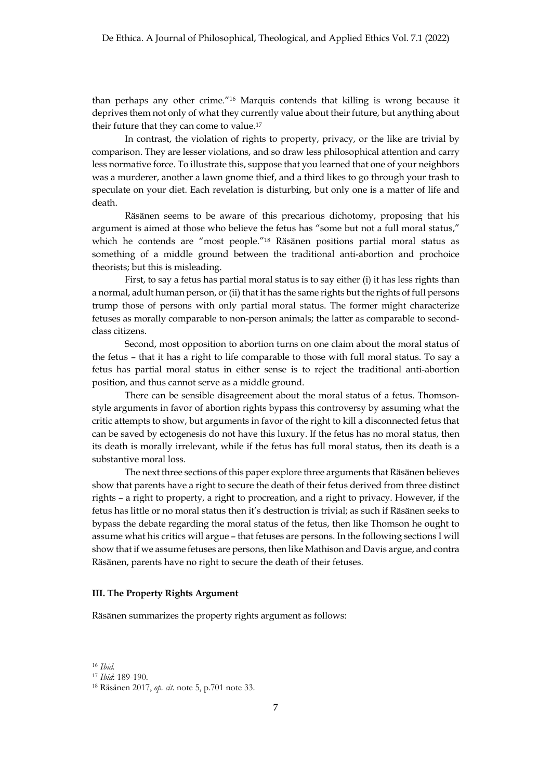than perhaps any other crime."16 Marquis contends that killing is wrong because it deprives them not only of what they currently value about their future, but anything about their future that they can come to value.17

In contrast, the violation of rights to property, privacy, or the like are trivial by comparison. They are lesser violations, and so draw less philosophical attention and carry less normative force. To illustrate this, suppose that you learned that one of your neighbors was a murderer, another a lawn gnome thief, and a third likes to go through your trash to speculate on your diet. Each revelation is disturbing, but only one is a matter of life and death.

Räsänen seems to be aware of this precarious dichotomy, proposing that his argument is aimed at those who believe the fetus has "some but not a full moral status," which he contends are "most people."<sup>18</sup> Räsänen positions partial moral status as something of a middle ground between the traditional anti-abortion and prochoice theorists; but this is misleading.

First, to say a fetus has partial moral status is to say either (i) it has less rights than a normal, adult human person, or (ii) that it has the same rights but the rights of full persons trump those of persons with only partial moral status. The former might characterize fetuses as morally comparable to non-person animals; the latter as comparable to secondclass citizens.

Second, most opposition to abortion turns on one claim about the moral status of the fetus – that it has a right to life comparable to those with full moral status. To say a fetus has partial moral status in either sense is to reject the traditional anti-abortion position, and thus cannot serve as a middle ground.

There can be sensible disagreement about the moral status of a fetus. Thomsonstyle arguments in favor of abortion rights bypass this controversy by assuming what the critic attempts to show, but arguments in favor of the right to kill a disconnected fetus that can be saved by ectogenesis do not have this luxury. If the fetus has no moral status, then its death is morally irrelevant, while if the fetus has full moral status, then its death is a substantive moral loss.

The next three sections of this paper explore three arguments that Räsänen believes show that parents have a right to secure the death of their fetus derived from three distinct rights – a right to property, a right to procreation, and a right to privacy. However, if the fetus has little or no moral status then it's destruction is trivial; as such if Räsänen seeks to bypass the debate regarding the moral status of the fetus, then like Thomson he ought to assume what his critics will argue – that fetuses are persons. In the following sections I will show that if we assume fetuses are persons, then like Mathison and Davis argue, and contra Räsänen, parents have no right to secure the death of their fetuses.

## **III. The Property Rights Argument**

Räsänen summarizes the property rights argument as follows:

<sup>16</sup> *Ibid.*

<sup>17</sup> *Ibid*: 189-190.

<sup>18</sup> Räsänen 2017, *op. cit.* note 5, p.701 note 33.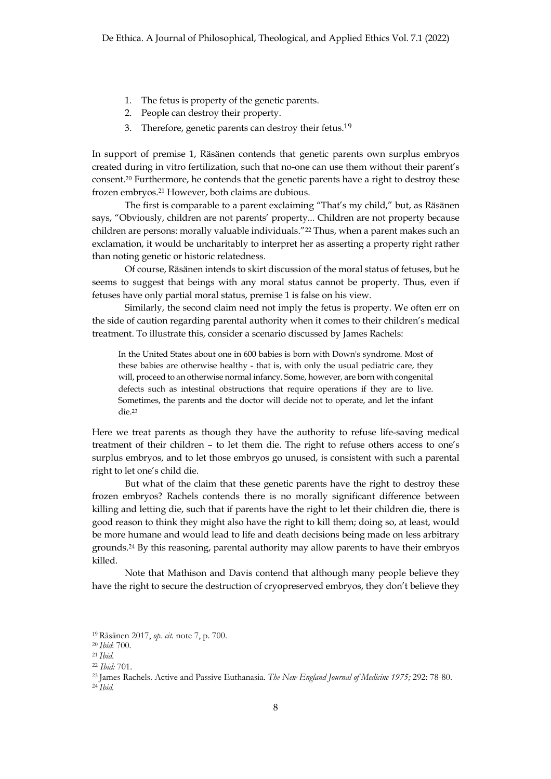- 1. The fetus is property of the genetic parents.
- 2. People can destroy their property.
- 3. Therefore, genetic parents can destroy their fetus.<sup>19</sup>

In support of premise 1, Räsänen contends that genetic parents own surplus embryos created during in vitro fertilization, such that no-one can use them without their parent's consent.20 Furthermore, he contends that the genetic parents have a right to destroy these frozen embryos.21 However, both claims are dubious.

The first is comparable to a parent exclaiming "That's my child," but, as Räsänen says, "Obviously, children are not parents' property... Children are not property because children are persons: morally valuable individuals."22 Thus, when a parent makes such an exclamation, it would be uncharitably to interpret her as asserting a property right rather than noting genetic or historic relatedness.

Of course, Räsänen intends to skirt discussion of the moral status of fetuses, but he seems to suggest that beings with any moral status cannot be property. Thus, even if fetuses have only partial moral status, premise 1 is false on his view.

Similarly, the second claim need not imply the fetus is property. We often err on the side of caution regarding parental authority when it comes to their children's medical treatment. To illustrate this, consider a scenario discussed by James Rachels:

In the United States about one in 600 babies is born with Down's syndrome. Most of these babies are otherwise healthy - that is, with only the usual pediatric care, they will, proceed to an otherwise normal infancy. Some, however, are born with congenital defects such as intestinal obstructions that require operations if they are to live. Sometimes, the parents and the doctor will decide not to operate, and let the infant die.23

Here we treat parents as though they have the authority to refuse life-saving medical treatment of their children – to let them die. The right to refuse others access to one's surplus embryos, and to let those embryos go unused, is consistent with such a parental right to let one's child die.

But what of the claim that these genetic parents have the right to destroy these frozen embryos? Rachels contends there is no morally significant difference between killing and letting die, such that if parents have the right to let their children die, there is good reason to think they might also have the right to kill them; doing so, at least, would be more humane and would lead to life and death decisions being made on less arbitrary grounds.24 By this reasoning, parental authority may allow parents to have their embryos killed.

Note that Mathison and Davis contend that although many people believe they have the right to secure the destruction of cryopreserved embryos, they don't believe they

<sup>19</sup> Räsänen 2017, *op. cit.* note 7, p. 700.

<sup>20</sup> *Ibid*: 700.

<sup>21</sup> *Ibid*.

<sup>22</sup> *Ibid:* 701.

<sup>23</sup> James Rachels. Active and Passive Euthanasia. *The New England Journal of Medicine 1975;* 292: 78-80.

<sup>24</sup> *Ibid.*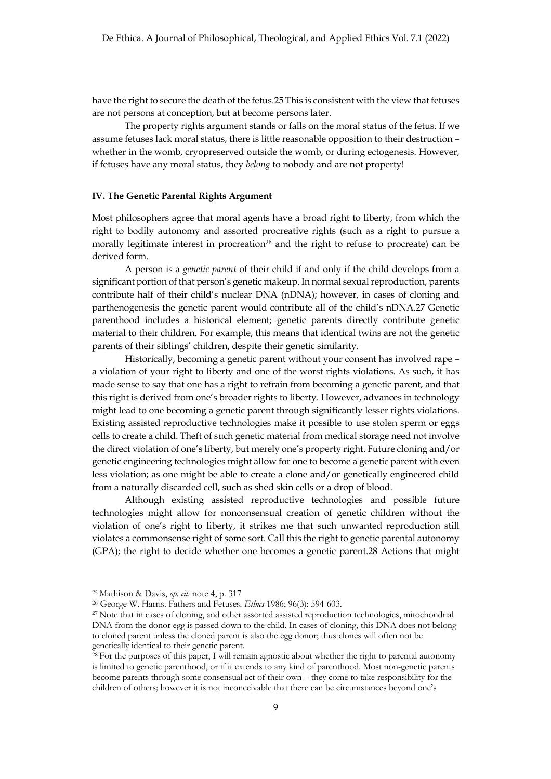have the right to secure the death of the fetus.25 This is consistent with the view that fetuses are not persons at conception, but at become persons later.

The property rights argument stands or falls on the moral status of the fetus. If we assume fetuses lack moral status, there is little reasonable opposition to their destruction – whether in the womb, cryopreserved outside the womb, or during ectogenesis. However, if fetuses have any moral status, they *belong* to nobody and are not property!

### **IV. The Genetic Parental Rights Argument**

Most philosophers agree that moral agents have a broad right to liberty, from which the right to bodily autonomy and assorted procreative rights (such as a right to pursue a morally legitimate interest in procreation<sup>26</sup> and the right to refuse to procreate) can be derived form.

A person is a *genetic parent* of their child if and only if the child develops from a significant portion of that person's genetic makeup. In normal sexual reproduction, parents contribute half of their child's nuclear DNA (nDNA); however, in cases of cloning and parthenogenesis the genetic parent would contribute all of the child's nDNA.27 Genetic parenthood includes a historical element; genetic parents directly contribute genetic material to their children. For example, this means that identical twins are not the genetic parents of their siblings' children, despite their genetic similarity.

Historically, becoming a genetic parent without your consent has involved rape – a violation of your right to liberty and one of the worst rights violations. As such, it has made sense to say that one has a right to refrain from becoming a genetic parent, and that this right is derived from one's broader rights to liberty. However, advances in technology might lead to one becoming a genetic parent through significantly lesser rights violations. Existing assisted reproductive technologies make it possible to use stolen sperm or eggs cells to create a child. Theft of such genetic material from medical storage need not involve the direct violation of one's liberty, but merely one's property right. Future cloning and/or genetic engineering technologies might allow for one to become a genetic parent with even less violation; as one might be able to create a clone and/or genetically engineered child from a naturally discarded cell, such as shed skin cells or a drop of blood.

Although existing assisted reproductive technologies and possible future technologies might allow for nonconsensual creation of genetic children without the violation of one's right to liberty, it strikes me that such unwanted reproduction still violates a commonsense right of some sort. Call this the right to genetic parental autonomy (GPA); the right to decide whether one becomes a genetic parent.28 Actions that might

<sup>25</sup> Mathison & Davis, *op. cit.* note 4, p. 317

<sup>26</sup> George W. Harris. Fathers and Fetuses. *Ethics* 1986; 96(3): 594-603.

<sup>27</sup> Note that in cases of cloning, and other assorted assisted reproduction technologies, mitochondrial DNA from the donor egg is passed down to the child. In cases of cloning, this DNA does not belong to cloned parent unless the cloned parent is also the egg donor; thus clones will often not be genetically identical to their genetic parent.

<sup>28</sup> For the purposes of this paper, I will remain agnostic about whether the right to parental autonomy is limited to genetic parenthood, or if it extends to any kind of parenthood. Most non-genetic parents become parents through some consensual act of their own – they come to take responsibility for the children of others; however it is not inconceivable that there can be circumstances beyond one's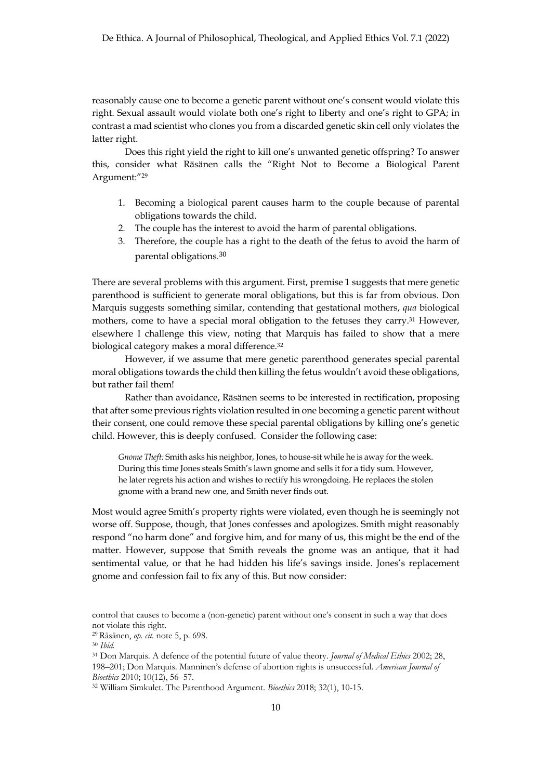reasonably cause one to become a genetic parent without one's consent would violate this right. Sexual assault would violate both one's right to liberty and one's right to GPA; in contrast a mad scientist who clones you from a discarded genetic skin cell only violates the latter right.

Does this right yield the right to kill one's unwanted genetic offspring? To answer this, consider what Räsänen calls the "Right Not to Become a Biological Parent Argument:"29

- 1. Becoming a biological parent causes harm to the couple because of parental obligations towards the child.
- 2. The couple has the interest to avoid the harm of parental obligations.
- 3. Therefore, the couple has a right to the death of the fetus to avoid the harm of parental obligations.<sup>30</sup>

There are several problems with this argument. First, premise 1 suggests that mere genetic parenthood is sufficient to generate moral obligations, but this is far from obvious. Don Marquis suggests something similar, contending that gestational mothers, *qua* biological mothers, come to have a special moral obligation to the fetuses they carry.31 However, elsewhere I challenge this view, noting that Marquis has failed to show that a mere biological category makes a moral difference.<sup>32</sup>

However, if we assume that mere genetic parenthood generates special parental moral obligations towards the child then killing the fetus wouldn't avoid these obligations, but rather fail them!

Rather than avoidance, Räsänen seems to be interested in rectification, proposing that after some previous rights violation resulted in one becoming a genetic parent without their consent, one could remove these special parental obligations by killing one's genetic child. However, this is deeply confused. Consider the following case:

*Gnome Theft:* Smith asks his neighbor, Jones, to house-sit while he is away for the week. During this time Jones steals Smith's lawn gnome and sells it for a tidy sum. However, he later regrets his action and wishes to rectify his wrongdoing. He replaces the stolen gnome with a brand new one, and Smith never finds out.

Most would agree Smith's property rights were violated, even though he is seemingly not worse off. Suppose, though, that Jones confesses and apologizes. Smith might reasonably respond "no harm done" and forgive him, and for many of us, this might be the end of the matter. However, suppose that Smith reveals the gnome was an antique, that it had sentimental value, or that he had hidden his life's savings inside. Jones's replacement gnome and confession fail to fix any of this. But now consider:

control that causes to become a (non-genetic) parent without one's consent in such a way that does not violate this right.

<sup>29</sup> Räsänen, *op. cit.* note 5, p. 698.

<sup>30</sup> *Ibid.*

<sup>31</sup> Don Marquis. A defence of the potential future of value theory. *Journal of Medical Ethics* 2002; 28, 198–201; Don Marquis. Manninen's defense of abortion rights is unsuccessful. *American Journal of Bioethics* 2010; 10(12), 56–57.

<sup>32</sup> William Simkulet. The Parenthood Argument. *Bioethics* 2018; 32(1), 10-15.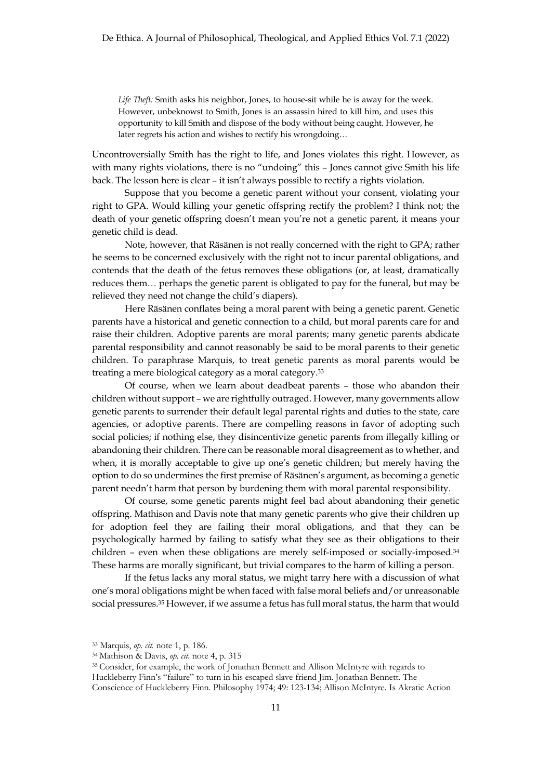*Life Theft:* Smith asks his neighbor, Jones, to house-sit while he is away for the week. However, unbeknowst to Smith, Jones is an assassin hired to kill him, and uses this opportunity to kill Smith and dispose of the body without being caught. However, he later regrets his action and wishes to rectify his wrongdoing…

Uncontroversially Smith has the right to life, and Jones violates this right. However, as with many rights violations, there is no "undoing" this – Jones cannot give Smith his life back. The lesson here is clear – it isn't always possible to rectify a rights violation.

Suppose that you become a genetic parent without your consent, violating your right to GPA. Would killing your genetic offspring rectify the problem? I think not; the death of your genetic offspring doesn't mean you're not a genetic parent, it means your genetic child is dead.

Note, however, that Räsänen is not really concerned with the right to GPA; rather he seems to be concerned exclusively with the right not to incur parental obligations, and contends that the death of the fetus removes these obligations (or, at least, dramatically reduces them… perhaps the genetic parent is obligated to pay for the funeral, but may be relieved they need not change the child's diapers).

Here Räsänen conflates being a moral parent with being a genetic parent. Genetic parents have a historical and genetic connection to a child, but moral parents care for and raise their children. Adoptive parents are moral parents; many genetic parents abdicate parental responsibility and cannot reasonably be said to be moral parents to their genetic children. To paraphrase Marquis, to treat genetic parents as moral parents would be treating a mere biological category as a moral category.33

Of course, when we learn about deadbeat parents – those who abandon their children without support – we are rightfully outraged. However, many governments allow genetic parents to surrender their default legal parental rights and duties to the state, care agencies, or adoptive parents. There are compelling reasons in favor of adopting such social policies; if nothing else, they disincentivize genetic parents from illegally killing or abandoning their children. There can be reasonable moral disagreement as to whether, and when, it is morally acceptable to give up one's genetic children; but merely having the option to do so undermines the first premise of Räsänen's argument, as becoming a genetic parent needn't harm that person by burdening them with moral parental responsibility.

Of course, some genetic parents might feel bad about abandoning their genetic offspring. Mathison and Davis note that many genetic parents who give their children up for adoption feel they are failing their moral obligations, and that they can be psychologically harmed by failing to satisfy what they see as their obligations to their children – even when these obligations are merely self-imposed or socially-imposed.34 These harms are morally significant, but trivial compares to the harm of killing a person.

If the fetus lacks any moral status, we might tarry here with a discussion of what one's moral obligations might be when faced with false moral beliefs and/or unreasonable social pressures.35 However, if we assume a fetus has full moral status, the harm that would

<sup>33</sup> Marquis, *op. cit.* note 1, p. 186.

<sup>34</sup> Mathison & Davis, *op. cit.* note 4, p. 315

<sup>35</sup> Consider, for example, the work of Jonathan Bennett and Allison McIntyre with regards to

Huckleberry Finn's "failure" to turn in his escaped slave friend Jim. Jonathan Bennett. The

Conscience of Huckleberry Finn. Philosophy 1974; 49: 123-134; Allison McIntyre. Is Akratic Action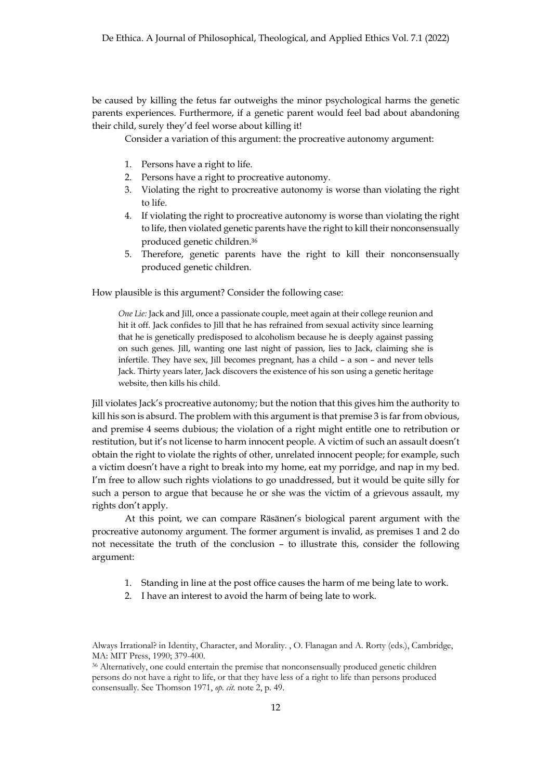be caused by killing the fetus far outweighs the minor psychological harms the genetic parents experiences. Furthermore, if a genetic parent would feel bad about abandoning their child, surely they'd feel worse about killing it!

Consider a variation of this argument: the procreative autonomy argument:

- 1. Persons have a right to life.
- 2. Persons have a right to procreative autonomy.
- 3. Violating the right to procreative autonomy is worse than violating the right to life.
- 4. If violating the right to procreative autonomy is worse than violating the right to life, then violated genetic parents have the right to kill their nonconsensually produced genetic children.<sup>36</sup>
- 5. Therefore, genetic parents have the right to kill their nonconsensually produced genetic children.

How plausible is this argument? Consider the following case:

*One Lie:* Jack and Jill, once a passionate couple, meet again at their college reunion and hit it off. Jack confides to Jill that he has refrained from sexual activity since learning that he is genetically predisposed to alcoholism because he is deeply against passing on such genes. Jill, wanting one last night of passion, lies to Jack, claiming she is infertile. They have sex, Jill becomes pregnant, has a child – a son – and never tells Jack. Thirty years later, Jack discovers the existence of his son using a genetic heritage website, then kills his child.

Jill violates Jack's procreative autonomy; but the notion that this gives him the authority to kill his son is absurd. The problem with this argument is that premise 3 is far from obvious, and premise 4 seems dubious; the violation of a right might entitle one to retribution or restitution, but it's not license to harm innocent people. A victim of such an assault doesn't obtain the right to violate the rights of other, unrelated innocent people; for example, such a victim doesn't have a right to break into my home, eat my porridge, and nap in my bed. I'm free to allow such rights violations to go unaddressed, but it would be quite silly for such a person to argue that because he or she was the victim of a grievous assault, my rights don't apply.

At this point, we can compare Räsänen's biological parent argument with the procreative autonomy argument. The former argument is invalid, as premises 1 and 2 do not necessitate the truth of the conclusion – to illustrate this, consider the following argument:

- 1. Standing in line at the post office causes the harm of me being late to work.
- 2. I have an interest to avoid the harm of being late to work.

Always Irrational? in Identity, Character, and Morality. , O. Flanagan and A. Rorty (eds.), Cambridge, MA: MIT Press, 1990; 379-400.

<sup>36</sup> Alternatively, one could entertain the premise that nonconsensually produced genetic children persons do not have a right to life, or that they have less of a right to life than persons produced consensually. See Thomson 1971, *op. cit.* note 2, p. 49.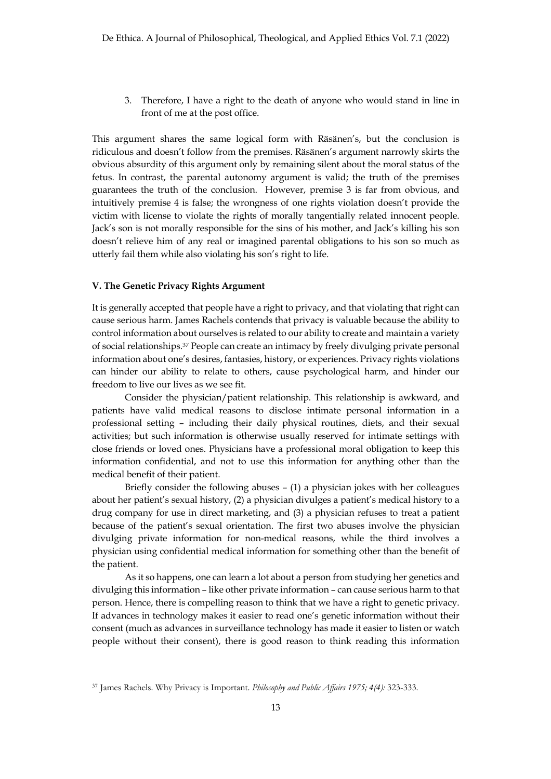3. Therefore, I have a right to the death of anyone who would stand in line in front of me at the post office.

This argument shares the same logical form with Räsänen's, but the conclusion is ridiculous and doesn't follow from the premises. Räsänen's argument narrowly skirts the obvious absurdity of this argument only by remaining silent about the moral status of the fetus. In contrast, the parental autonomy argument is valid; the truth of the premises guarantees the truth of the conclusion. However, premise 3 is far from obvious, and intuitively premise 4 is false; the wrongness of one rights violation doesn't provide the victim with license to violate the rights of morally tangentially related innocent people. Jack's son is not morally responsible for the sins of his mother, and Jack's killing his son doesn't relieve him of any real or imagined parental obligations to his son so much as utterly fail them while also violating his son's right to life.

## **V. The Genetic Privacy Rights Argument**

It is generally accepted that people have a right to privacy, and that violating that right can cause serious harm. James Rachels contends that privacy is valuable because the ability to control information about ourselves is related to our ability to create and maintain a variety of social relationships.37 People can create an intimacy by freely divulging private personal information about one's desires, fantasies, history, or experiences. Privacy rights violations can hinder our ability to relate to others, cause psychological harm, and hinder our freedom to live our lives as we see fit.

Consider the physician/patient relationship. This relationship is awkward, and patients have valid medical reasons to disclose intimate personal information in a professional setting – including their daily physical routines, diets, and their sexual activities; but such information is otherwise usually reserved for intimate settings with close friends or loved ones. Physicians have a professional moral obligation to keep this information confidential, and not to use this information for anything other than the medical benefit of their patient.

Briefly consider the following abuses – (1) a physician jokes with her colleagues about her patient's sexual history, (2) a physician divulges a patient's medical history to a drug company for use in direct marketing, and (3) a physician refuses to treat a patient because of the patient's sexual orientation. The first two abuses involve the physician divulging private information for non-medical reasons, while the third involves a physician using confidential medical information for something other than the benefit of the patient.

As it so happens, one can learn a lot about a person from studying her genetics and divulging this information – like other private information – can cause serious harm to that person. Hence, there is compelling reason to think that we have a right to genetic privacy. If advances in technology makes it easier to read one's genetic information without their consent (much as advances in surveillance technology has made it easier to listen or watch people without their consent), there is good reason to think reading this information

<sup>37</sup> James Rachels. Why Privacy is Important. *Philosophy and Public Affairs 1975; 4(4):* 323-333.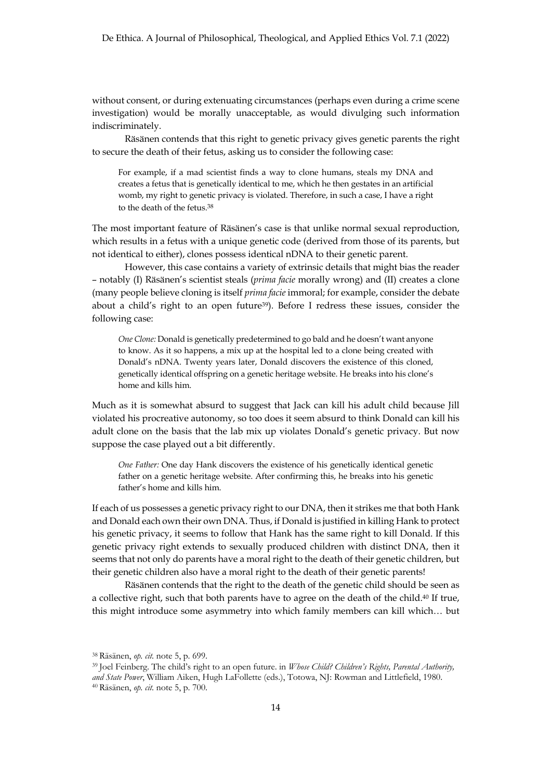without consent, or during extenuating circumstances (perhaps even during a crime scene investigation) would be morally unacceptable, as would divulging such information indiscriminately.

Räsänen contends that this right to genetic privacy gives genetic parents the right to secure the death of their fetus, asking us to consider the following case:

For example, if a mad scientist finds a way to clone humans, steals my DNA and creates a fetus that is genetically identical to me, which he then gestates in an artificial womb, my right to genetic privacy is violated. Therefore, in such a case, I have a right to the death of the fetus.38

The most important feature of Räsänen's case is that unlike normal sexual reproduction, which results in a fetus with a unique genetic code (derived from those of its parents, but not identical to either), clones possess identical nDNA to their genetic parent.

However, this case contains a variety of extrinsic details that might bias the reader – notably (I) Räsänen's scientist steals (*prima facie* morally wrong) and (II) creates a clone (many people believe cloning is itself *prima facie* immoral; for example, consider the debate about a child's right to an open future<sup>39</sup>). Before I redress these issues, consider the following case:

*One Clone:* Donald is genetically predetermined to go bald and he doesn't want anyone to know. As it so happens, a mix up at the hospital led to a clone being created with Donald's nDNA. Twenty years later, Donald discovers the existence of this cloned, genetically identical offspring on a genetic heritage website. He breaks into his clone's home and kills him.

Much as it is somewhat absurd to suggest that Jack can kill his adult child because Jill violated his procreative autonomy, so too does it seem absurd to think Donald can kill his adult clone on the basis that the lab mix up violates Donald's genetic privacy. But now suppose the case played out a bit differently.

*One Father:* One day Hank discovers the existence of his genetically identical genetic father on a genetic heritage website. After confirming this, he breaks into his genetic father's home and kills him.

If each of us possesses a genetic privacy right to our DNA, then it strikes me that both Hank and Donald each own their own DNA. Thus, if Donald is justified in killing Hank to protect his genetic privacy, it seems to follow that Hank has the same right to kill Donald. If this genetic privacy right extends to sexually produced children with distinct DNA, then it seems that not only do parents have a moral right to the death of their genetic children, but their genetic children also have a moral right to the death of their genetic parents!

Räsänen contends that the right to the death of the genetic child should be seen as a collective right, such that both parents have to agree on the death of the child.40 If true, this might introduce some asymmetry into which family members can kill which… but

<sup>38</sup> Räsänen, *op. cit.* note 5, p. 699.

<sup>39</sup> Joel Feinberg. The child's right to an open future. in *Whose Child? Children's Rights, Parental Authority, and State Power*, William Aiken, Hugh LaFollette (eds.), Totowa, NJ: Rowman and Littlefield, 1980. <sup>40</sup> Räsänen, *op. cit.* note 5, p. 700.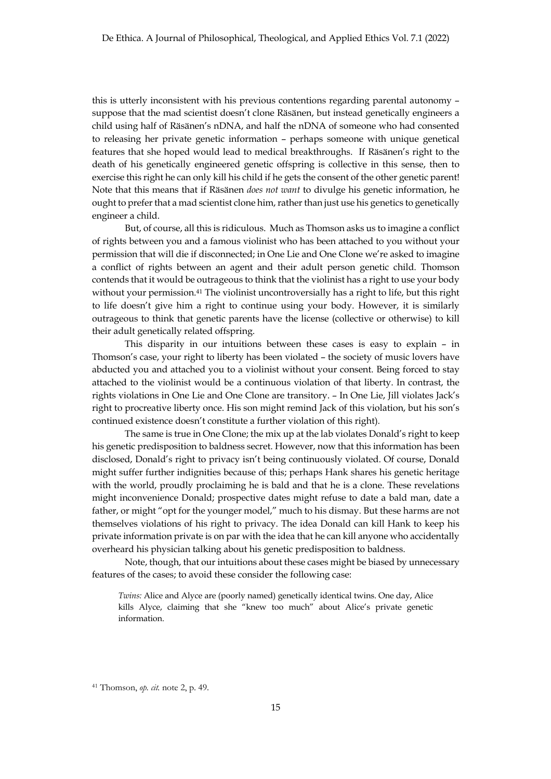this is utterly inconsistent with his previous contentions regarding parental autonomy – suppose that the mad scientist doesn't clone Räsänen, but instead genetically engineers a child using half of Räsänen's nDNA, and half the nDNA of someone who had consented to releasing her private genetic information – perhaps someone with unique genetical features that she hoped would lead to medical breakthroughs. If Räsänen's right to the death of his genetically engineered genetic offspring is collective in this sense, then to exercise this right he can only kill his child if he gets the consent of the other genetic parent! Note that this means that if Räsänen *does not want* to divulge his genetic information, he ought to prefer that a mad scientist clone him, rather than just use his genetics to genetically engineer a child.

But, of course, all this is ridiculous. Much as Thomson asks us to imagine a conflict of rights between you and a famous violinist who has been attached to you without your permission that will die if disconnected; in One Lie and One Clone we're asked to imagine a conflict of rights between an agent and their adult person genetic child. Thomson contends that it would be outrageous to think that the violinist has a right to use your body without your permission.<sup>41</sup> The violinist uncontroversially has a right to life, but this right to life doesn't give him a right to continue using your body. However, it is similarly outrageous to think that genetic parents have the license (collective or otherwise) to kill their adult genetically related offspring.

This disparity in our intuitions between these cases is easy to explain – in Thomson's case, your right to liberty has been violated – the society of music lovers have abducted you and attached you to a violinist without your consent. Being forced to stay attached to the violinist would be a continuous violation of that liberty. In contrast, the rights violations in One Lie and One Clone are transitory. – In One Lie, Jill violates Jack's right to procreative liberty once. His son might remind Jack of this violation, but his son's continued existence doesn't constitute a further violation of this right).

The same is true in One Clone; the mix up at the lab violates Donald's right to keep his genetic predisposition to baldness secret. However, now that this information has been disclosed, Donald's right to privacy isn't being continuously violated. Of course, Donald might suffer further indignities because of this; perhaps Hank shares his genetic heritage with the world, proudly proclaiming he is bald and that he is a clone. These revelations might inconvenience Donald; prospective dates might refuse to date a bald man, date a father, or might "opt for the younger model," much to his dismay. But these harms are not themselves violations of his right to privacy. The idea Donald can kill Hank to keep his private information private is on par with the idea that he can kill anyone who accidentally overheard his physician talking about his genetic predisposition to baldness.

Note, though, that our intuitions about these cases might be biased by unnecessary features of the cases; to avoid these consider the following case:

*Twins:* Alice and Alyce are (poorly named) genetically identical twins. One day, Alice kills Alyce, claiming that she "knew too much" about Alice's private genetic information.

<sup>41</sup> Thomson, *op. cit.* note 2, p. 49.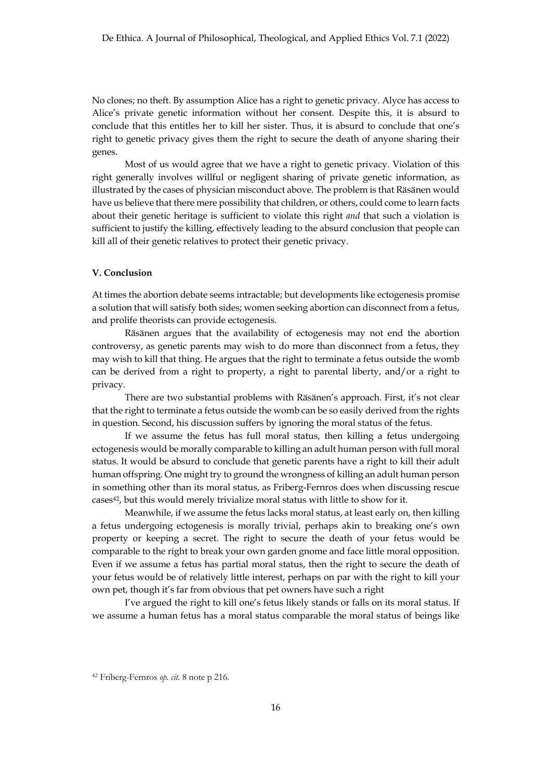No clones; no theft. By assumption Alice has a right to genetic privacy. Alyce has access to Alice's private genetic information without her consent. Despite this, it is absurd to conclude that this entitles her to kill her sister. Thus, it is absurd to conclude that one's right to genetic privacy gives them the right to secure the death of anyone sharing their genes.

Most of us would agree that we have a right to genetic privacy. Violation of this right generally involves willful or negligent sharing of private genetic information, as illustrated by the cases of physician misconduct above. The problem is that Räsänen would have us believe that there mere possibility that children, or others, could come to learn facts about their genetic heritage is sufficient to violate this right *and* that such a violation is sufficient to justify the killing, effectively leading to the absurd conclusion that people can kill all of their genetic relatives to protect their genetic privacy.

## **V. Conclusion**

At times the abortion debate seems intractable; but developments like ectogenesis promise a solution that will satisfy both sides; women seeking abortion can disconnect from a fetus, and prolife theorists can provide ectogenesis.

Räsänen argues that the availability of ectogenesis may not end the abortion controversy, as genetic parents may wish to do more than disconnect from a fetus, they may wish to kill that thing. He argues that the right to terminate a fetus outside the womb can be derived from a right to property, a right to parental liberty, and/or a right to privacy.

There are two substantial problems with Räsänen's approach. First, it's not clear that the right to terminate a fetus outside the womb can be so easily derived from the rights in question. Second, his discussion suffers by ignoring the moral status of the fetus.

If we assume the fetus has full moral status, then killing a fetus undergoing ectogenesis would be morally comparable to killing an adult human person with full moral status. It would be absurd to conclude that genetic parents have a right to kill their adult human offspring. One might try to ground the wrongness of killing an adult human person in something other than its moral status, as Friberg-Fernros does when discussing rescue cases<sup>42</sup>, but this would merely trivialize moral status with little to show for it.

Meanwhile, if we assume the fetus lacks moral status, at least early on, then killing a fetus undergoing ectogenesis is morally trivial, perhaps akin to breaking one's own property or keeping a secret. The right to secure the death of your fetus would be comparable to the right to break your own garden gnome and face little moral opposition. Even if we assume a fetus has partial moral status, then the right to secure the death of your fetus would be of relatively little interest, perhaps on par with the right to kill your own pet, though it's far from obvious that pet owners have such a right

I've argued the right to kill one's fetus likely stands or falls on its moral status. If we assume a human fetus has a moral status comparable the moral status of beings like

<sup>42</sup> Friberg-Fernros *op. cit.* 8 note p 216.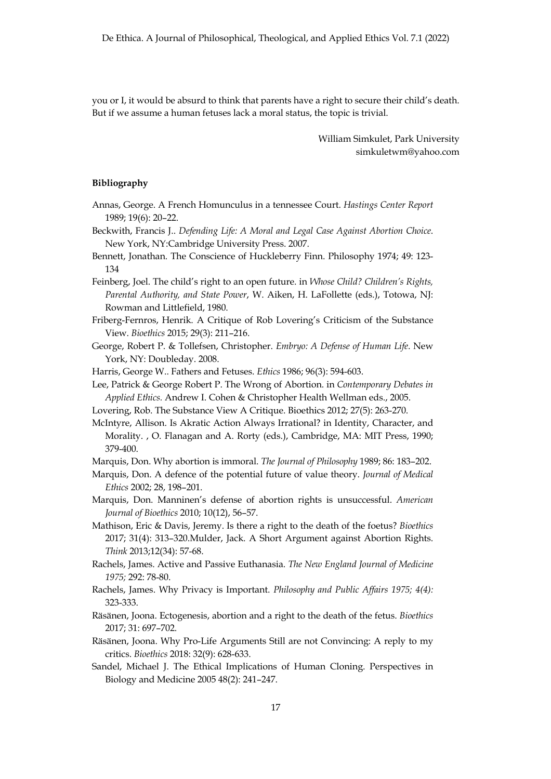you or I, it would be absurd to think that parents have a right to secure their child's death. But if we assume a human fetuses lack a moral status, the topic is trivial.

> William Simkulet, Park University simkuletwm@yahoo.com

### **Bibliography**

- Annas, George. A French Homunculus in a tennessee Court. *Hastings Center Report*  1989; 19(6): 20–22.
- Beckwith, Francis J.. *Defending Life: A Moral and Legal Case Against Abortion Choice*. New York, NY:Cambridge University Press. 2007.
- Bennett, Jonathan. The Conscience of Huckleberry Finn. Philosophy 1974; 49: 123- 134
- Feinberg, Joel. The child's right to an open future. in *Whose Child? Children's Rights, Parental Authority, and State Power*, W. Aiken, H. LaFollette (eds.), Totowa, NJ: Rowman and Littlefield, 1980.
- Friberg-Fernros, Henrik. A Critique of Rob Lovering's Criticism of the Substance View. *Bioethics* 2015; 29(3): 211–216.
- George, Robert P. & Tollefsen, Christopher. *Embryo: A Defense of Human Life*. New York, NY: Doubleday. 2008.
- Harris, George W.. Fathers and Fetuses. *Ethics* 1986; 96(3): 594-603.
- Lee, Patrick & George Robert P. The Wrong of Abortion. in *Contemporary Debates in Applied Ethics.* Andrew I. Cohen & Christopher Health Wellman eds., 2005.
- Lovering, Rob. The Substance View A Critique. Bioethics 2012; 27(5): 263-270.
- McIntyre, Allison. Is Akratic Action Always Irrational? in Identity, Character, and Morality. , O. Flanagan and A. Rorty (eds.), Cambridge, MA: MIT Press, 1990; 379-400.
- Marquis, Don. Why abortion is immoral. *The Journal of Philosophy* 1989; 86: 183–202.
- Marquis, Don. A defence of the potential future of value theory. *Journal of Medical Ethics* 2002; 28, 198–201.
- Marquis, Don. Manninen's defense of abortion rights is unsuccessful. *American Journal of Bioethics* 2010; 10(12), 56–57.
- Mathison, Eric & Davis, Jeremy. Is there a right to the death of the foetus? *Bioethics* 2017; 31(4): 313–320.Mulder, Jack. A Short Argument against Abortion Rights. *Think* 2013;12(34): 57-68.
- Rachels, James. Active and Passive Euthanasia. *The New England Journal of Medicine 1975;* 292: 78-80.
- Rachels, James. Why Privacy is Important. *Philosophy and Public Affairs 1975; 4(4):* 323-333.
- Räsänen, Joona. Ectogenesis, abortion and a right to the death of the fetus. *Bioethics*  2017; 31: 697–702.
- Räsänen, Joona. Why Pro-Life Arguments Still are not Convincing: A reply to my critics. *Bioethics* 2018: 32(9): 628-633.
- Sandel, Michael J. The Ethical Implications of Human Cloning. Perspectives in Biology and Medicine 2005 48(2): 241–247.